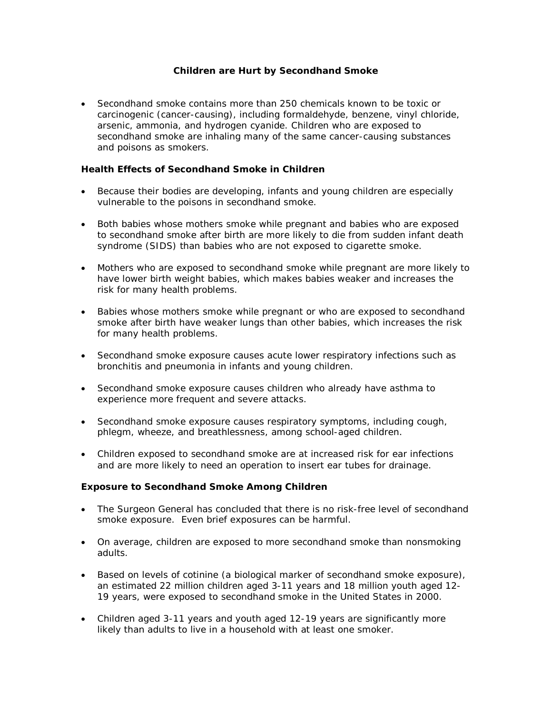## **Children are Hurt by Secondhand Smoke**

 • Secondhand smoke contains more than 250 chemicals known to be toxic or secondhand smoke are inhaling many of the same cancer-causing substances and poisons as smokers. carcinogenic (cancer-causing), including formaldehyde, benzene, vinyl chloride, arsenic, ammonia, and hydrogen cyanide. Children who are exposed to

## **Health Effects of Secondhand Smoke in Children**

- Because their bodies are developing, infants and young children are especially vulnerable to the poisons in secondhand smoke.
- to secondhand smoke after birth are more likely to die from sudden infant death • Both babies whose mothers smoke while pregnant and babies who are exposed syndrome (SIDS) than babies who are not exposed to cigarette smoke.
- Mothers who are exposed to secondhand smoke while pregnant are more likely to have lower birth weight babies, which makes babies weaker and increases the risk for many health problems.
- smoke after birth have weaker lungs than other babies, which increases the risk • Babies whose mothers smoke while pregnant or who are exposed to secondhand for many health problems.
- bronchitis and pneumonia in infants and young children. • Secondhand smoke exposure causes acute lower respiratory infections such as
- Secondhand smoke exposure causes children who already have asthma to experience more frequent and severe attacks.
- Secondhand smoke exposure causes respiratory symptoms, including cough, phlegm, wheeze, and breathlessness, among school-aged children.
- Children exposed to secondhand smoke are at increased risk for ear infections and are more likely to need an operation to insert ear tubes for drainage.

## **Exposure to Secondhand Smoke Among Children**

- The Surgeon General has concluded that there is no risk-free level of secondhand smoke exposure. Even brief exposures can be harmful.
- On average, children are exposed to more secondhand smoke than nonsmoking adults.
- Based on levels of cotinine (a biological marker of secondhand smoke exposure), 19 years, were exposed to secondhand smoke in the United States in 2000. an estimated 22 million children aged 3-11 years and 18 million youth aged 12
- likely than adults to live in a household with at least one smoker. • Children aged 3-11 years and youth aged 12-19 years are significantly more